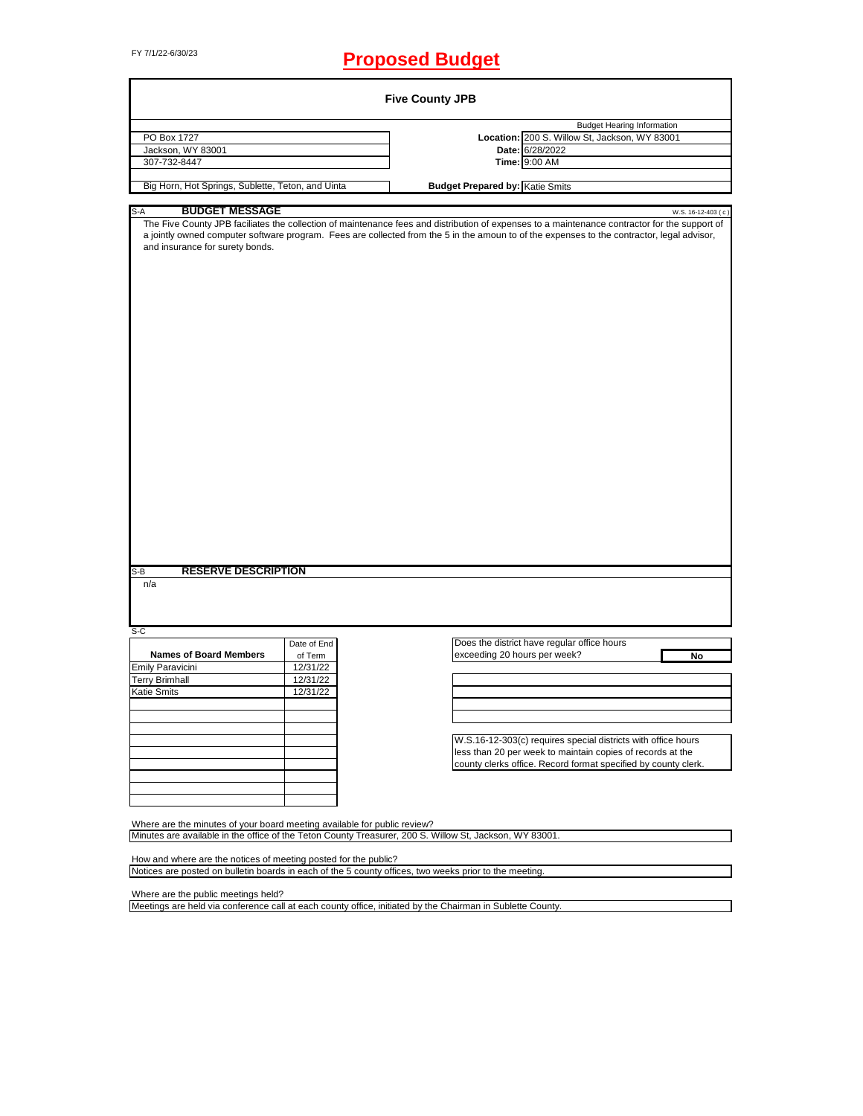# FY 7/1/22-6/30/23 **Proposed Budget**

|                                                                          |                      | <b>Five County JPB</b>                                                                                                                                                                                                                                                                                            |
|--------------------------------------------------------------------------|----------------------|-------------------------------------------------------------------------------------------------------------------------------------------------------------------------------------------------------------------------------------------------------------------------------------------------------------------|
|                                                                          |                      | <b>Budget Hearing Information</b>                                                                                                                                                                                                                                                                                 |
| PO Box 1727                                                              |                      | Location: 200 S. Willow St, Jackson, WY 83001                                                                                                                                                                                                                                                                     |
| Jackson, WY 83001                                                        |                      | Date: 6/28/2022                                                                                                                                                                                                                                                                                                   |
| 307-732-8447                                                             |                      | Time: 9:00 AM                                                                                                                                                                                                                                                                                                     |
| Big Horn, Hot Springs, Sublette, Teton, and Uinta                        |                      | <b>Budget Prepared by: Katie Smits</b>                                                                                                                                                                                                                                                                            |
|                                                                          |                      |                                                                                                                                                                                                                                                                                                                   |
| <b>BUDGET MESSAGE</b><br>S-A<br>and insurance for surety bonds.          |                      | W.S. 16-12-403 (c)<br>The Five County JPB faciliates the collection of maintenance fees and distribution of expenses to a maintenance contractor for the support of<br>a jointly owned computer software program. Fees are collected from the 5 in the amoun to of the expenses to the contractor, legal advisor, |
|                                                                          |                      |                                                                                                                                                                                                                                                                                                                   |
| <b>RESERVE DESCRIPTION</b><br>S-B                                        |                      |                                                                                                                                                                                                                                                                                                                   |
| n/a                                                                      |                      |                                                                                                                                                                                                                                                                                                                   |
|                                                                          |                      |                                                                                                                                                                                                                                                                                                                   |
| $S-C$                                                                    | Date of End          | Does the district have regular office hours                                                                                                                                                                                                                                                                       |
|                                                                          |                      |                                                                                                                                                                                                                                                                                                                   |
|                                                                          |                      |                                                                                                                                                                                                                                                                                                                   |
| <b>Names of Board Members</b>                                            | of Term<br>12/31/22  | exceeding 20 hours per week?<br>No                                                                                                                                                                                                                                                                                |
| Emily Paravicini                                                         |                      |                                                                                                                                                                                                                                                                                                                   |
| <b>Terry Brimhall</b><br>Katie Smits                                     | 12/31/22<br>12/31/22 |                                                                                                                                                                                                                                                                                                                   |
|                                                                          |                      |                                                                                                                                                                                                                                                                                                                   |
|                                                                          |                      |                                                                                                                                                                                                                                                                                                                   |
|                                                                          |                      |                                                                                                                                                                                                                                                                                                                   |
|                                                                          |                      | W.S.16-12-303(c) requires special districts with office hours                                                                                                                                                                                                                                                     |
|                                                                          |                      | less than 20 per week to maintain copies of records at the<br>county clerks office. Record format specified by county clerk.                                                                                                                                                                                      |
|                                                                          |                      |                                                                                                                                                                                                                                                                                                                   |
|                                                                          |                      |                                                                                                                                                                                                                                                                                                                   |
|                                                                          |                      |                                                                                                                                                                                                                                                                                                                   |
| Where are the minutes of your board meeting available for public review? |                      |                                                                                                                                                                                                                                                                                                                   |
|                                                                          |                      | Minutes are available in the office of the Teton County Treasurer, 200 S. Willow St, Jackson, WY 83001.                                                                                                                                                                                                           |
| How and where are the notices of meeting posted for the public?          |                      |                                                                                                                                                                                                                                                                                                                   |
|                                                                          |                      | Notices are posted on bulletin boards in each of the 5 county offices, two weeks prior to the meeting.                                                                                                                                                                                                            |
| Where are the public meetings held?                                      |                      |                                                                                                                                                                                                                                                                                                                   |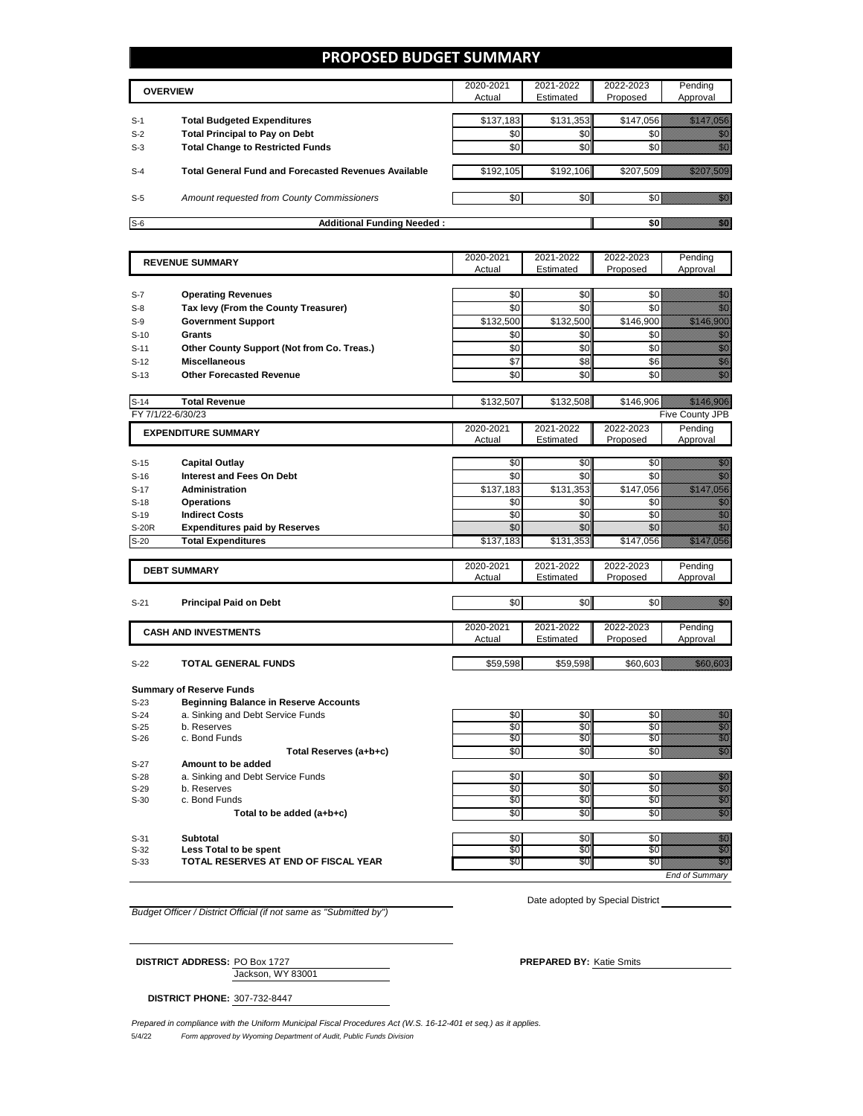### **PROPOSED BUDGET SUMMARY**

|       | <b>OVERVIEW</b>                                             | 2020-2021<br>Actual | 2021-2022<br>Estimated | 2022-2023<br>Proposed | Pending<br>Approval |
|-------|-------------------------------------------------------------|---------------------|------------------------|-----------------------|---------------------|
| $S-1$ | <b>Total Budgeted Expenditures</b>                          | \$137,183           | \$131,353              | \$147.056             |                     |
| $S-2$ | <b>Total Principal to Pay on Debt</b>                       | \$0                 | \$0 <sub>1</sub>       |                       |                     |
| $S-3$ | <b>Total Change to Restricted Funds</b>                     | \$0                 | \$0                    |                       |                     |
| $S-4$ | <b>Total General Fund and Forecasted Revenues Available</b> | \$192,105           | \$192,106              | \$207,509             |                     |
| $S-5$ | Amount requested from County Commissioners                  | \$0                 | \$0 <sub>1</sub>       |                       |                     |
| $S-6$ | <b>Additional Funding Needed:</b>                           |                     |                        |                       |                     |

|        | <b>REVENUE SUMMARY</b>                           | 2020-2021        | 2021-2022  | 2022-2023  | Pending                                                                                                                                                                                                                          |
|--------|--------------------------------------------------|------------------|------------|------------|----------------------------------------------------------------------------------------------------------------------------------------------------------------------------------------------------------------------------------|
|        |                                                  | Actual           | Estimated  | Proposed   | Approval                                                                                                                                                                                                                         |
|        |                                                  |                  |            |            |                                                                                                                                                                                                                                  |
| $S-7$  | <b>Operating Revenues</b>                        | \$0              | \$0        | \$0        | en de la familie de la familie de la familie de la familie de la familie de la familie de la familie de la fa<br>Espainia                                                                                                        |
| $S-8$  | Tax levy (From the County Treasurer)             | \$0              | \$0        | \$0        |                                                                                                                                                                                                                                  |
| $S-9$  | <b>Government Support</b>                        | \$132,500        | \$132,500  | \$146,900  | <u>ti kalendari k</u>                                                                                                                                                                                                            |
| $S-10$ | <b>Grants</b>                                    | \$0              | \$0        | \$0        |                                                                                                                                                                                                                                  |
| $S-11$ | Other County Support (Not from Co. Treas.)       | \$0              | \$0        | \$0        |                                                                                                                                                                                                                                  |
| $S-12$ | <b>Miscellaneous</b>                             | $\overline{\$7}$ | \$8        | \$6        | e de la construcción de la construcción de la construcción de la construcción de la construcción de la construcción<br>Casa de la construcción de la construcción de la construcción de la construcción de la construcción de la |
| $S-13$ | <b>Other Forecasted Revenue</b>                  | \$0              | \$0        | \$0        |                                                                                                                                                                                                                                  |
|        |                                                  |                  |            |            |                                                                                                                                                                                                                                  |
| $S-14$ | <b>Total Revenue</b>                             | \$132,507        | \$132,508  | \$146,906  | <u> Hillingan yang berasala</u>                                                                                                                                                                                                  |
|        | FY 7/1/22-6/30/23                                |                  |            |            | Five County JPB                                                                                                                                                                                                                  |
|        | <b>EXPENDITURE SUMMARY</b>                       | 2020-2021        | 2021-2022  | 2022-2023  | Pending                                                                                                                                                                                                                          |
|        |                                                  | Actual           | Estimated  | Proposed   | Approval                                                                                                                                                                                                                         |
|        |                                                  |                  |            |            |                                                                                                                                                                                                                                  |
| $S-15$ | <b>Capital Outlay</b>                            | \$0              | \$0        | \$0        | an dhe                                                                                                                                                                                                                           |
| $S-16$ | <b>Interest and Fees On Debt</b>                 | \$0              | \$0        | \$0        | en de la familie de la familie de la familie de la familie de la familie de la familie de la familie de la fam<br>Constitution de la familie de la familie de la familie de la familie de la familie de la familie de la familie |
| $S-17$ | <b>Administration</b>                            | \$137,183        | \$131,353  | \$147,056  | <u>e de la componenta</u>                                                                                                                                                                                                        |
| $S-18$ | <b>Operations</b>                                | \$0              | \$0        | \$0        | en de familien<br>Albert de familien de familien (d. 1970)<br>1970 - Charles Branch, franco-dro de familien (d. 1970)                                                                                                            |
| $S-19$ | <b>Indirect Costs</b>                            | \$0              | \$0        | \$0        |                                                                                                                                                                                                                                  |
| S-20R  | <b>Expenditures paid by Reserves</b>             | \$0              | \$0        | \$0        | en de la familie de la familie de la familie de la familie de la familie de la familie de la familie de la fam<br>Construction de la familie de la familie de la familie de la familie de la familie de la familie de la familie |
| $S-20$ | <b>Total Expenditures</b>                        | \$137,183        | \$131,353  | \$147,056  | <u>Till Here o</u>                                                                                                                                                                                                               |
|        |                                                  | 2020-2021        | 2021-2022  | 2022-2023  | Pending                                                                                                                                                                                                                          |
|        | <b>DEBT SUMMARY</b>                              | Actual           | Estimated  | Proposed   | Approval                                                                                                                                                                                                                         |
|        |                                                  |                  |            |            |                                                                                                                                                                                                                                  |
| $S-21$ | <b>Principal Paid on Debt</b>                    | \$0              | \$0        |            | SO WILLIAM SOF                                                                                                                                                                                                                   |
|        |                                                  |                  |            |            |                                                                                                                                                                                                                                  |
|        | <b>CASH AND INVESTMENTS</b>                      | 2020-2021        | 2021-2022  | 2022-2023  | Pending                                                                                                                                                                                                                          |
|        |                                                  | Actual           | Estimated  | Proposed   | Approval                                                                                                                                                                                                                         |
|        |                                                  |                  |            |            |                                                                                                                                                                                                                                  |
| $S-22$ | <b>TOTAL GENERAL FUNDS</b>                       | \$59,598         | \$59,598   | \$60,603   | <u> Karl Barat d</u>                                                                                                                                                                                                             |
|        |                                                  |                  |            |            |                                                                                                                                                                                                                                  |
|        | <b>Summary of Reserve Funds</b>                  |                  |            |            |                                                                                                                                                                                                                                  |
| $S-23$ | <b>Beginning Balance in Reserve Accounts</b>     |                  |            |            |                                                                                                                                                                                                                                  |
| $S-24$ | a. Sinking and Debt Service Funds<br>b. Reserves | \$0<br>\$0       | \$0<br>\$0 | \$0<br>\$0 | ellen<br>Stadt<br>Stadt                                                                                                                                                                                                          |
| $S-25$ | c. Bond Funds                                    | \$0              | \$0        | \$0        |                                                                                                                                                                                                                                  |
| $S-26$ |                                                  | \$0              | \$0        | \$0        |                                                                                                                                                                                                                                  |
| $S-27$ | Total Reserves (a+b+c)<br>Amount to be added     |                  |            |            | en de la filosofia<br>Maria de la filòlogía                                                                                                                                                                                      |
|        |                                                  |                  |            |            |                                                                                                                                                                                                                                  |

| $S-28$ | Service<br>-unds<br>. Debt ≌<br>$\sim$<br>Sir<br>one<br>נוווג טווחו | ጉፖ<br>w | \$0. | ,,,,,,,,,,,,,,,,,,,,,,,,,,,,,,,<br>. .<br>,,,,,,,,,,,,,,,,,,,,,,,,,,,,,,,,,,,,<br>111. |
|--------|---------------------------------------------------------------------|---------|------|----------------------------------------------------------------------------------------|

S-29 b. Reserves \$0 \$0 \$0 \$0  $S-29$  b. Reserves c. Bond Funds  $S-30$  c. Bond Funds  $S=30$   $S=0$   $S=0$   $S=0$   $S=0$   $S=0$   $S=0$   $S=0$   $S=0$ 

Total to be added (a+b+c) **be added** (a+b+c) **be added** (a+b+c)

S-31 **Subtotal** \$0 \$0 \$0 \$0

s-32 **Less Total to be spent** that the set of the set of the set of the set of the set of the set of the set of t<br>S-32 **Less Total to be spent** 

S-33 **TOTAL RESERVES AT END OF FISCAL YEAR**  $\overline{SO}$   $\overline{SO}$   $\overline{SO}$   $\overline{SO}$   $\overline{SO}$ 

*End of Summary*

*Budget Officer / District Official (if not same as "Submitted by")*

Date adopted by Special District

Jackson, WY 83001 **DISTRICT ADDRESS:** PO Box 1727 **PREPARED BY:** Katie Smits

**DISTRICT PHONE:** 307-732-8447

*Prepared in compliance with the Uniform Municipal Fiscal Procedures Act (W.S. 16-12-401 et seq.) as it applies.*

5/4/22 *Form approved by Wyoming Department of Audit, Public Funds Division*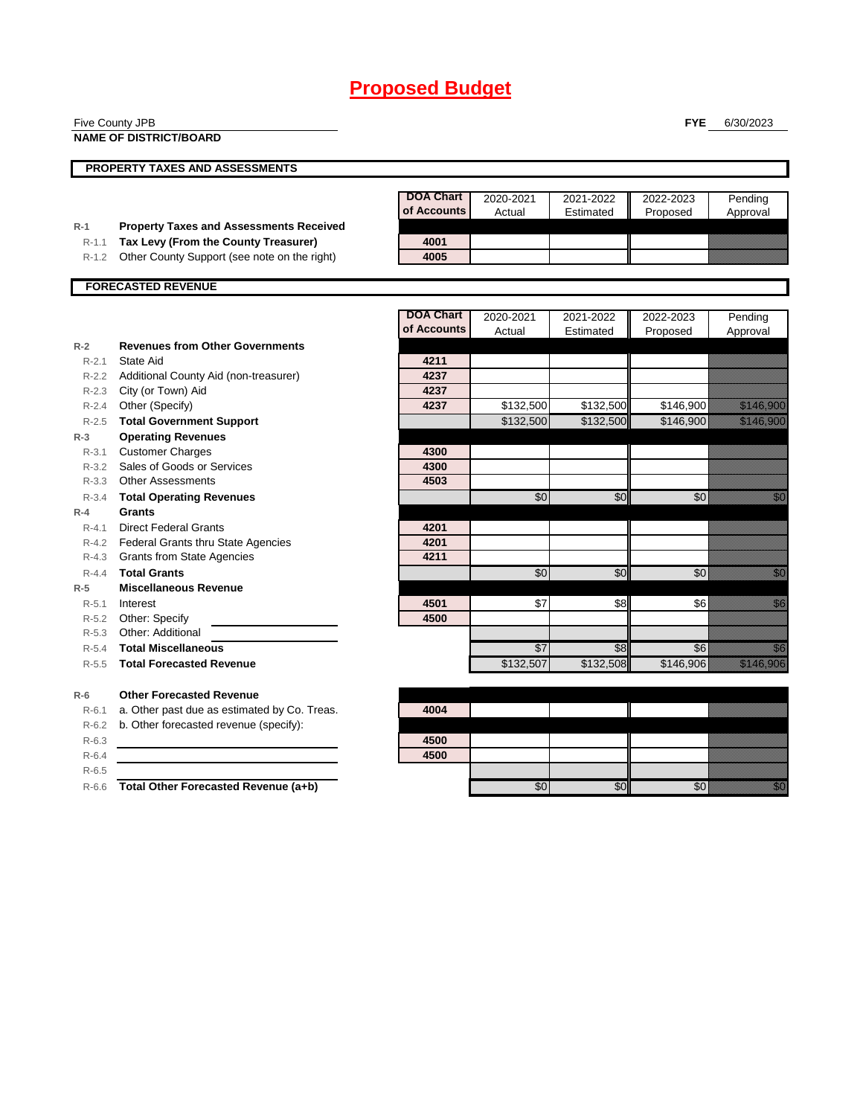| <b>NAME OF DISTRICT/BOARD</b><br>PROPERTY TAXES AND ASSESSMENTS<br><b>DOA Chart</b><br>2020-2021<br>2021-2022<br>2022-2023<br>Pending<br>of Accounts<br>Actual<br>Estimated<br>Proposed<br>Approval<br><b>Property Taxes and Assessments Received</b><br>$R-1$<br>Tax Levy (From the County Treasurer)<br>4001<br>$R-1.1$<br>4005<br>Other County Support (see note on the right)<br>$R-1.2$<br><b>FORECASTED REVENUE</b><br><b>DOA Chart</b><br>2020-2021<br>2021-2022<br>2022-2023<br>Pending<br>of Accounts<br>Actual<br>Estimated<br>Proposed<br>Approval<br><b>Revenues from Other Governments</b><br>$R-2$<br>State Aid<br>4211<br>$R - 2.1$<br>4237<br>R-2.2 Additional County Aid (non-treasurer)<br>4237<br>R-2.3 City (or Town) Aid<br>Other (Specify)<br>4237<br>\$132,500<br>\$132,500<br>\$146,900<br>$R - 2.4$<br>a katalunggal sa katalunggal sa katalunggal sa katalunggal sa katalunggal sa katalunggal sa katalunggal sa kat<br>Katalunggal sa katalunggal sa katalunggal sa katalunggal sa katalunggal sa katalunggal sa katalunggal sa katal<br><b>Total Government Support</b><br>\$132,500<br>\$132,500<br>\$146,900<br>$R - 2.5$<br>$R-3$<br><b>Operating Revenues</b><br><b>Customer Charges</b><br>4300<br>$R - 3.1$<br>Sales of Goods or Services<br>4300<br>$R - 3.2$<br>R-3.3 Other Assessments<br>4503<br>$\sqrt{6}$<br>\$0<br>$\sqrt{6}$<br><b>Total Operating Revenues</b><br>$R - 3.4$<br><b>Grants</b><br>$R-4$<br>$R - 4.1$<br><b>Direct Federal Grants</b><br>4201<br>4201<br><b>Federal Grants thru State Agencies</b><br>$R - 4.2$<br>4211<br>R-4.3 Grants from State Agencies<br>$\sqrt{6}$<br>\$0<br><b>Total Grants</b><br>\$0<br>$R - 4.4$<br><b>Miscellaneous Revenue</b><br>$R-5$<br>\$7<br>\$6<br>Interest<br>4501<br>\$8<br>$R-5.1$<br>4500<br>R-5.2 Other: Specify<br>Other: Additional<br>$R-5.3$<br>$\overline{$7}$<br><b>Total Miscellaneous</b><br>\$8<br>\$6<br>$R - 5.4$<br>\$132,507<br>\$132,508<br>\$146,906<br><b>Total Forecasted Revenue</b><br>$R-5.5$<br><b>Other Forecasted Revenue</b><br>$R-6$<br>a. Other past due as estimated by Co. Treas.<br>4004<br>$R-6.1$<br>b. Other forecasted revenue (specify):<br>$R-6.2$<br>4500<br>$R-6.3$<br>4500<br>$R-6.4$<br>$R-6.5$ |         | Five County JPB                      |     |     | <b>FYE</b> | 6/30/2023                                                                                                                                                                                                                        |
|----------------------------------------------------------------------------------------------------------------------------------------------------------------------------------------------------------------------------------------------------------------------------------------------------------------------------------------------------------------------------------------------------------------------------------------------------------------------------------------------------------------------------------------------------------------------------------------------------------------------------------------------------------------------------------------------------------------------------------------------------------------------------------------------------------------------------------------------------------------------------------------------------------------------------------------------------------------------------------------------------------------------------------------------------------------------------------------------------------------------------------------------------------------------------------------------------------------------------------------------------------------------------------------------------------------------------------------------------------------------------------------------------------------------------------------------------------------------------------------------------------------------------------------------------------------------------------------------------------------------------------------------------------------------------------------------------------------------------------------------------------------------------------------------------------------------------------------------------------------------------------------------------------------------------------------------------------------------------------------------------------------------------------------------------------------------------------------------------------------------------------------------------------------------------------------------------------------------------------------|---------|--------------------------------------|-----|-----|------------|----------------------------------------------------------------------------------------------------------------------------------------------------------------------------------------------------------------------------------|
|                                                                                                                                                                                                                                                                                                                                                                                                                                                                                                                                                                                                                                                                                                                                                                                                                                                                                                                                                                                                                                                                                                                                                                                                                                                                                                                                                                                                                                                                                                                                                                                                                                                                                                                                                                                                                                                                                                                                                                                                                                                                                                                                                                                                                                        |         |                                      |     |     |            |                                                                                                                                                                                                                                  |
|                                                                                                                                                                                                                                                                                                                                                                                                                                                                                                                                                                                                                                                                                                                                                                                                                                                                                                                                                                                                                                                                                                                                                                                                                                                                                                                                                                                                                                                                                                                                                                                                                                                                                                                                                                                                                                                                                                                                                                                                                                                                                                                                                                                                                                        |         |                                      |     |     |            |                                                                                                                                                                                                                                  |
|                                                                                                                                                                                                                                                                                                                                                                                                                                                                                                                                                                                                                                                                                                                                                                                                                                                                                                                                                                                                                                                                                                                                                                                                                                                                                                                                                                                                                                                                                                                                                                                                                                                                                                                                                                                                                                                                                                                                                                                                                                                                                                                                                                                                                                        |         |                                      |     |     |            |                                                                                                                                                                                                                                  |
|                                                                                                                                                                                                                                                                                                                                                                                                                                                                                                                                                                                                                                                                                                                                                                                                                                                                                                                                                                                                                                                                                                                                                                                                                                                                                                                                                                                                                                                                                                                                                                                                                                                                                                                                                                                                                                                                                                                                                                                                                                                                                                                                                                                                                                        |         |                                      |     |     |            |                                                                                                                                                                                                                                  |
|                                                                                                                                                                                                                                                                                                                                                                                                                                                                                                                                                                                                                                                                                                                                                                                                                                                                                                                                                                                                                                                                                                                                                                                                                                                                                                                                                                                                                                                                                                                                                                                                                                                                                                                                                                                                                                                                                                                                                                                                                                                                                                                                                                                                                                        |         |                                      |     |     |            |                                                                                                                                                                                                                                  |
|                                                                                                                                                                                                                                                                                                                                                                                                                                                                                                                                                                                                                                                                                                                                                                                                                                                                                                                                                                                                                                                                                                                                                                                                                                                                                                                                                                                                                                                                                                                                                                                                                                                                                                                                                                                                                                                                                                                                                                                                                                                                                                                                                                                                                                        |         |                                      |     |     |            |                                                                                                                                                                                                                                  |
|                                                                                                                                                                                                                                                                                                                                                                                                                                                                                                                                                                                                                                                                                                                                                                                                                                                                                                                                                                                                                                                                                                                                                                                                                                                                                                                                                                                                                                                                                                                                                                                                                                                                                                                                                                                                                                                                                                                                                                                                                                                                                                                                                                                                                                        |         |                                      |     |     |            |                                                                                                                                                                                                                                  |
|                                                                                                                                                                                                                                                                                                                                                                                                                                                                                                                                                                                                                                                                                                                                                                                                                                                                                                                                                                                                                                                                                                                                                                                                                                                                                                                                                                                                                                                                                                                                                                                                                                                                                                                                                                                                                                                                                                                                                                                                                                                                                                                                                                                                                                        |         |                                      |     |     |            |                                                                                                                                                                                                                                  |
|                                                                                                                                                                                                                                                                                                                                                                                                                                                                                                                                                                                                                                                                                                                                                                                                                                                                                                                                                                                                                                                                                                                                                                                                                                                                                                                                                                                                                                                                                                                                                                                                                                                                                                                                                                                                                                                                                                                                                                                                                                                                                                                                                                                                                                        |         |                                      |     |     |            |                                                                                                                                                                                                                                  |
|                                                                                                                                                                                                                                                                                                                                                                                                                                                                                                                                                                                                                                                                                                                                                                                                                                                                                                                                                                                                                                                                                                                                                                                                                                                                                                                                                                                                                                                                                                                                                                                                                                                                                                                                                                                                                                                                                                                                                                                                                                                                                                                                                                                                                                        |         |                                      |     |     |            |                                                                                                                                                                                                                                  |
|                                                                                                                                                                                                                                                                                                                                                                                                                                                                                                                                                                                                                                                                                                                                                                                                                                                                                                                                                                                                                                                                                                                                                                                                                                                                                                                                                                                                                                                                                                                                                                                                                                                                                                                                                                                                                                                                                                                                                                                                                                                                                                                                                                                                                                        |         |                                      |     |     |            |                                                                                                                                                                                                                                  |
|                                                                                                                                                                                                                                                                                                                                                                                                                                                                                                                                                                                                                                                                                                                                                                                                                                                                                                                                                                                                                                                                                                                                                                                                                                                                                                                                                                                                                                                                                                                                                                                                                                                                                                                                                                                                                                                                                                                                                                                                                                                                                                                                                                                                                                        |         |                                      |     |     |            |                                                                                                                                                                                                                                  |
|                                                                                                                                                                                                                                                                                                                                                                                                                                                                                                                                                                                                                                                                                                                                                                                                                                                                                                                                                                                                                                                                                                                                                                                                                                                                                                                                                                                                                                                                                                                                                                                                                                                                                                                                                                                                                                                                                                                                                                                                                                                                                                                                                                                                                                        |         |                                      |     |     |            |                                                                                                                                                                                                                                  |
|                                                                                                                                                                                                                                                                                                                                                                                                                                                                                                                                                                                                                                                                                                                                                                                                                                                                                                                                                                                                                                                                                                                                                                                                                                                                                                                                                                                                                                                                                                                                                                                                                                                                                                                                                                                                                                                                                                                                                                                                                                                                                                                                                                                                                                        |         |                                      |     |     |            |                                                                                                                                                                                                                                  |
|                                                                                                                                                                                                                                                                                                                                                                                                                                                                                                                                                                                                                                                                                                                                                                                                                                                                                                                                                                                                                                                                                                                                                                                                                                                                                                                                                                                                                                                                                                                                                                                                                                                                                                                                                                                                                                                                                                                                                                                                                                                                                                                                                                                                                                        |         |                                      |     |     |            |                                                                                                                                                                                                                                  |
|                                                                                                                                                                                                                                                                                                                                                                                                                                                                                                                                                                                                                                                                                                                                                                                                                                                                                                                                                                                                                                                                                                                                                                                                                                                                                                                                                                                                                                                                                                                                                                                                                                                                                                                                                                                                                                                                                                                                                                                                                                                                                                                                                                                                                                        |         |                                      |     |     |            |                                                                                                                                                                                                                                  |
|                                                                                                                                                                                                                                                                                                                                                                                                                                                                                                                                                                                                                                                                                                                                                                                                                                                                                                                                                                                                                                                                                                                                                                                                                                                                                                                                                                                                                                                                                                                                                                                                                                                                                                                                                                                                                                                                                                                                                                                                                                                                                                                                                                                                                                        |         |                                      |     |     |            | <u> Elizabeth Carl</u>                                                                                                                                                                                                           |
|                                                                                                                                                                                                                                                                                                                                                                                                                                                                                                                                                                                                                                                                                                                                                                                                                                                                                                                                                                                                                                                                                                                                                                                                                                                                                                                                                                                                                                                                                                                                                                                                                                                                                                                                                                                                                                                                                                                                                                                                                                                                                                                                                                                                                                        |         |                                      |     |     |            |                                                                                                                                                                                                                                  |
|                                                                                                                                                                                                                                                                                                                                                                                                                                                                                                                                                                                                                                                                                                                                                                                                                                                                                                                                                                                                                                                                                                                                                                                                                                                                                                                                                                                                                                                                                                                                                                                                                                                                                                                                                                                                                                                                                                                                                                                                                                                                                                                                                                                                                                        |         |                                      |     |     |            |                                                                                                                                                                                                                                  |
|                                                                                                                                                                                                                                                                                                                                                                                                                                                                                                                                                                                                                                                                                                                                                                                                                                                                                                                                                                                                                                                                                                                                                                                                                                                                                                                                                                                                                                                                                                                                                                                                                                                                                                                                                                                                                                                                                                                                                                                                                                                                                                                                                                                                                                        |         |                                      |     |     |            |                                                                                                                                                                                                                                  |
|                                                                                                                                                                                                                                                                                                                                                                                                                                                                                                                                                                                                                                                                                                                                                                                                                                                                                                                                                                                                                                                                                                                                                                                                                                                                                                                                                                                                                                                                                                                                                                                                                                                                                                                                                                                                                                                                                                                                                                                                                                                                                                                                                                                                                                        |         |                                      |     |     |            |                                                                                                                                                                                                                                  |
|                                                                                                                                                                                                                                                                                                                                                                                                                                                                                                                                                                                                                                                                                                                                                                                                                                                                                                                                                                                                                                                                                                                                                                                                                                                                                                                                                                                                                                                                                                                                                                                                                                                                                                                                                                                                                                                                                                                                                                                                                                                                                                                                                                                                                                        |         |                                      |     |     |            |                                                                                                                                                                                                                                  |
|                                                                                                                                                                                                                                                                                                                                                                                                                                                                                                                                                                                                                                                                                                                                                                                                                                                                                                                                                                                                                                                                                                                                                                                                                                                                                                                                                                                                                                                                                                                                                                                                                                                                                                                                                                                                                                                                                                                                                                                                                                                                                                                                                                                                                                        |         |                                      |     |     |            | en de la filosofia<br>Maria de la filòsofia                                                                                                                                                                                      |
|                                                                                                                                                                                                                                                                                                                                                                                                                                                                                                                                                                                                                                                                                                                                                                                                                                                                                                                                                                                                                                                                                                                                                                                                                                                                                                                                                                                                                                                                                                                                                                                                                                                                                                                                                                                                                                                                                                                                                                                                                                                                                                                                                                                                                                        |         |                                      |     |     |            |                                                                                                                                                                                                                                  |
|                                                                                                                                                                                                                                                                                                                                                                                                                                                                                                                                                                                                                                                                                                                                                                                                                                                                                                                                                                                                                                                                                                                                                                                                                                                                                                                                                                                                                                                                                                                                                                                                                                                                                                                                                                                                                                                                                                                                                                                                                                                                                                                                                                                                                                        |         |                                      |     |     |            |                                                                                                                                                                                                                                  |
|                                                                                                                                                                                                                                                                                                                                                                                                                                                                                                                                                                                                                                                                                                                                                                                                                                                                                                                                                                                                                                                                                                                                                                                                                                                                                                                                                                                                                                                                                                                                                                                                                                                                                                                                                                                                                                                                                                                                                                                                                                                                                                                                                                                                                                        |         |                                      |     |     |            |                                                                                                                                                                                                                                  |
|                                                                                                                                                                                                                                                                                                                                                                                                                                                                                                                                                                                                                                                                                                                                                                                                                                                                                                                                                                                                                                                                                                                                                                                                                                                                                                                                                                                                                                                                                                                                                                                                                                                                                                                                                                                                                                                                                                                                                                                                                                                                                                                                                                                                                                        |         |                                      |     |     |            |                                                                                                                                                                                                                                  |
|                                                                                                                                                                                                                                                                                                                                                                                                                                                                                                                                                                                                                                                                                                                                                                                                                                                                                                                                                                                                                                                                                                                                                                                                                                                                                                                                                                                                                                                                                                                                                                                                                                                                                                                                                                                                                                                                                                                                                                                                                                                                                                                                                                                                                                        |         |                                      |     |     |            | en de la filo<br>Altres de la filo                                                                                                                                                                                               |
|                                                                                                                                                                                                                                                                                                                                                                                                                                                                                                                                                                                                                                                                                                                                                                                                                                                                                                                                                                                                                                                                                                                                                                                                                                                                                                                                                                                                                                                                                                                                                                                                                                                                                                                                                                                                                                                                                                                                                                                                                                                                                                                                                                                                                                        |         |                                      |     |     |            |                                                                                                                                                                                                                                  |
|                                                                                                                                                                                                                                                                                                                                                                                                                                                                                                                                                                                                                                                                                                                                                                                                                                                                                                                                                                                                                                                                                                                                                                                                                                                                                                                                                                                                                                                                                                                                                                                                                                                                                                                                                                                                                                                                                                                                                                                                                                                                                                                                                                                                                                        |         |                                      |     |     |            | <u>i Sid</u>                                                                                                                                                                                                                     |
|                                                                                                                                                                                                                                                                                                                                                                                                                                                                                                                                                                                                                                                                                                                                                                                                                                                                                                                                                                                                                                                                                                                                                                                                                                                                                                                                                                                                                                                                                                                                                                                                                                                                                                                                                                                                                                                                                                                                                                                                                                                                                                                                                                                                                                        |         |                                      |     |     |            |                                                                                                                                                                                                                                  |
|                                                                                                                                                                                                                                                                                                                                                                                                                                                                                                                                                                                                                                                                                                                                                                                                                                                                                                                                                                                                                                                                                                                                                                                                                                                                                                                                                                                                                                                                                                                                                                                                                                                                                                                                                                                                                                                                                                                                                                                                                                                                                                                                                                                                                                        |         |                                      |     |     |            |                                                                                                                                                                                                                                  |
|                                                                                                                                                                                                                                                                                                                                                                                                                                                                                                                                                                                                                                                                                                                                                                                                                                                                                                                                                                                                                                                                                                                                                                                                                                                                                                                                                                                                                                                                                                                                                                                                                                                                                                                                                                                                                                                                                                                                                                                                                                                                                                                                                                                                                                        |         |                                      |     |     |            | en de la familie de la familie de la familie de la familie de la familie de la familie de la familie de la fam<br>De la familie de la familie de la familie de la familie de la familie de la familie de la familie de la famili |
|                                                                                                                                                                                                                                                                                                                                                                                                                                                                                                                                                                                                                                                                                                                                                                                                                                                                                                                                                                                                                                                                                                                                                                                                                                                                                                                                                                                                                                                                                                                                                                                                                                                                                                                                                                                                                                                                                                                                                                                                                                                                                                                                                                                                                                        |         |                                      |     |     |            | <u> Hillisoon in die kommensiese kommensiese kommensiese kommensiese kommensiese kommensiese kommensiese kommensi</u>                                                                                                            |
|                                                                                                                                                                                                                                                                                                                                                                                                                                                                                                                                                                                                                                                                                                                                                                                                                                                                                                                                                                                                                                                                                                                                                                                                                                                                                                                                                                                                                                                                                                                                                                                                                                                                                                                                                                                                                                                                                                                                                                                                                                                                                                                                                                                                                                        |         |                                      |     |     |            |                                                                                                                                                                                                                                  |
|                                                                                                                                                                                                                                                                                                                                                                                                                                                                                                                                                                                                                                                                                                                                                                                                                                                                                                                                                                                                                                                                                                                                                                                                                                                                                                                                                                                                                                                                                                                                                                                                                                                                                                                                                                                                                                                                                                                                                                                                                                                                                                                                                                                                                                        |         |                                      |     |     |            |                                                                                                                                                                                                                                  |
|                                                                                                                                                                                                                                                                                                                                                                                                                                                                                                                                                                                                                                                                                                                                                                                                                                                                                                                                                                                                                                                                                                                                                                                                                                                                                                                                                                                                                                                                                                                                                                                                                                                                                                                                                                                                                                                                                                                                                                                                                                                                                                                                                                                                                                        |         |                                      |     |     |            |                                                                                                                                                                                                                                  |
|                                                                                                                                                                                                                                                                                                                                                                                                                                                                                                                                                                                                                                                                                                                                                                                                                                                                                                                                                                                                                                                                                                                                                                                                                                                                                                                                                                                                                                                                                                                                                                                                                                                                                                                                                                                                                                                                                                                                                                                                                                                                                                                                                                                                                                        |         |                                      |     |     |            |                                                                                                                                                                                                                                  |
|                                                                                                                                                                                                                                                                                                                                                                                                                                                                                                                                                                                                                                                                                                                                                                                                                                                                                                                                                                                                                                                                                                                                                                                                                                                                                                                                                                                                                                                                                                                                                                                                                                                                                                                                                                                                                                                                                                                                                                                                                                                                                                                                                                                                                                        |         |                                      |     |     |            |                                                                                                                                                                                                                                  |
|                                                                                                                                                                                                                                                                                                                                                                                                                                                                                                                                                                                                                                                                                                                                                                                                                                                                                                                                                                                                                                                                                                                                                                                                                                                                                                                                                                                                                                                                                                                                                                                                                                                                                                                                                                                                                                                                                                                                                                                                                                                                                                                                                                                                                                        |         |                                      |     |     |            |                                                                                                                                                                                                                                  |
|                                                                                                                                                                                                                                                                                                                                                                                                                                                                                                                                                                                                                                                                                                                                                                                                                                                                                                                                                                                                                                                                                                                                                                                                                                                                                                                                                                                                                                                                                                                                                                                                                                                                                                                                                                                                                                                                                                                                                                                                                                                                                                                                                                                                                                        | $R-6.6$ | Total Other Forecasted Revenue (a+b) | \$0 | \$0 | \$0        | <u> Hill</u>                                                                                                                                                                                                                     |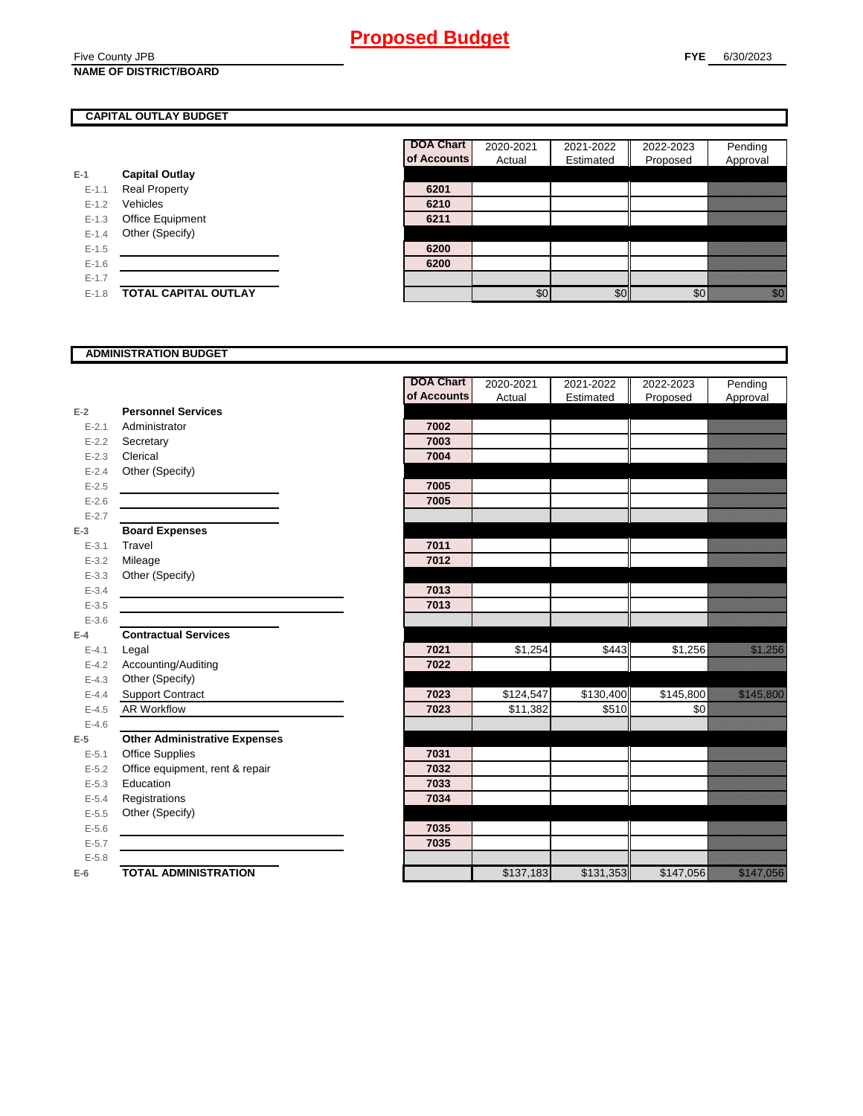#### Five County JPB **NAME OF DISTRICT/BOARD**

### **CAPITAL OUTLAY BUDGET**

|           |                         | ui nuuu |
|-----------|-------------------------|---------|
| E-1       | <b>Capital Outlay</b>   |         |
| $E - 1.1$ | <b>Real Property</b>    | 6201    |
| $E - 1.2$ | Vehicles                | 6210    |
| $E-1.3$   | <b>Office Equipment</b> | 6211    |
| $E-1.4$   | Other (Specify)         |         |
| $E-1.5$   |                         | 6200    |
| $E-1.6$   |                         | 6200    |
| $E - 1.7$ |                         |         |
| $E-1.8$   | TOTAL CAPITAL OUTLAY    |         |

| <b>DOA Chart</b> | 2020-2021 | 2021-2022 | 2022-2023 | Pending  |
|------------------|-----------|-----------|-----------|----------|
| of Accounts      | Actual    | Estimated | Proposed  | Approval |
|                  |           |           |           |          |
| 6201             |           |           |           |          |
| 6210             |           |           |           |          |
| 6211             |           |           |           |          |
|                  |           |           |           |          |
| 6200             |           |           |           |          |
| 6200             |           |           |           |          |
|                  |           |           |           |          |
|                  | \$0       |           |           |          |

#### **ADMINISTRATION BUDGET**

|           |                                      | <b>DOA Chart</b> | 2020-2021 | 2021-2022 | 2022-2023 | Pending                                                                                                                                                                                                                          |
|-----------|--------------------------------------|------------------|-----------|-----------|-----------|----------------------------------------------------------------------------------------------------------------------------------------------------------------------------------------------------------------------------------|
|           |                                      | of Accounts      | Actual    | Estimated | Proposed  | Approval                                                                                                                                                                                                                         |
| $E-2$     | <b>Personnel Services</b>            |                  |           |           |           |                                                                                                                                                                                                                                  |
| $E - 2.1$ | Administrator                        | 7002             |           |           |           |                                                                                                                                                                                                                                  |
| $E - 2.2$ | Secretary                            | 7003             |           |           |           |                                                                                                                                                                                                                                  |
| $E - 2.3$ | Clerical                             | 7004             |           |           |           |                                                                                                                                                                                                                                  |
| $E - 2.4$ | Other (Specify)                      |                  |           |           |           |                                                                                                                                                                                                                                  |
| $E - 2.5$ |                                      | 7005             |           |           |           |                                                                                                                                                                                                                                  |
| $E - 2.6$ |                                      | 7005             |           |           |           |                                                                                                                                                                                                                                  |
| $E - 2.7$ |                                      |                  |           |           |           |                                                                                                                                                                                                                                  |
| $E-3$     | <b>Board Expenses</b>                |                  |           |           |           |                                                                                                                                                                                                                                  |
| $E - 3.1$ | Travel                               | 7011             |           |           |           |                                                                                                                                                                                                                                  |
| $E - 3.2$ | Mileage                              | 7012             |           |           |           |                                                                                                                                                                                                                                  |
| $E - 3.3$ | Other (Specify)                      |                  |           |           |           |                                                                                                                                                                                                                                  |
| $E - 3.4$ |                                      | 7013             |           |           |           |                                                                                                                                                                                                                                  |
| $E-3.5$   |                                      | 7013             |           |           |           |                                                                                                                                                                                                                                  |
| $E - 3.6$ |                                      |                  |           |           |           |                                                                                                                                                                                                                                  |
| $E-4$     | <b>Contractual Services</b>          |                  |           |           |           |                                                                                                                                                                                                                                  |
| $E - 4.1$ | Legal                                | 7021             | \$1,254   | \$443     | \$1,256   |                                                                                                                                                                                                                                  |
| $E - 4.2$ | Accounting/Auditing                  | 7022             |           |           |           |                                                                                                                                                                                                                                  |
| $E - 4.3$ | Other (Specify)                      |                  |           |           |           |                                                                                                                                                                                                                                  |
| $E - 4.4$ | Support Contract                     | 7023             | \$124,547 | \$130,400 | \$145,800 | a katika katika katika katika katika katika alikuwa alikuwa alikuwa alikuwa alikuwa alikuwa alikuwa alikuwa al<br>Marejeo                                                                                                        |
| $E - 4.5$ | <b>AR Workflow</b>                   | 7023             | \$11,382  | \$510     | \$0       |                                                                                                                                                                                                                                  |
| $E - 4.6$ |                                      |                  |           |           |           |                                                                                                                                                                                                                                  |
| $E-5$     | <b>Other Administrative Expenses</b> |                  |           |           |           |                                                                                                                                                                                                                                  |
| $E - 5.1$ | <b>Office Supplies</b>               | 7031             |           |           |           |                                                                                                                                                                                                                                  |
| $E - 5.2$ | Office equipment, rent & repair      | 7032             |           |           |           |                                                                                                                                                                                                                                  |
| $E - 5.3$ | Education                            | 7033             |           |           |           |                                                                                                                                                                                                                                  |
| $E - 5.4$ | Registrations                        | 7034             |           |           |           |                                                                                                                                                                                                                                  |
| $E - 5.5$ | Other (Specify)                      |                  |           |           |           |                                                                                                                                                                                                                                  |
| $E-5.6$   |                                      | 7035             |           |           |           |                                                                                                                                                                                                                                  |
| $E - 5.7$ |                                      | 7035             |           |           |           |                                                                                                                                                                                                                                  |
| $E - 5.8$ |                                      |                  |           |           |           |                                                                                                                                                                                                                                  |
| $E-6$     | <b>TOTAL ADMINISTRATION</b>          |                  | \$137,183 | \$131,353 | \$147,056 | a katika katika katika katika katika katika katika katika katika katika katika katika katika katika katika kat<br>Katika katika katika katika katika katika katika katika katika katika katika katika katika katika katika katik |
|           |                                      |                  |           |           |           |                                                                                                                                                                                                                                  |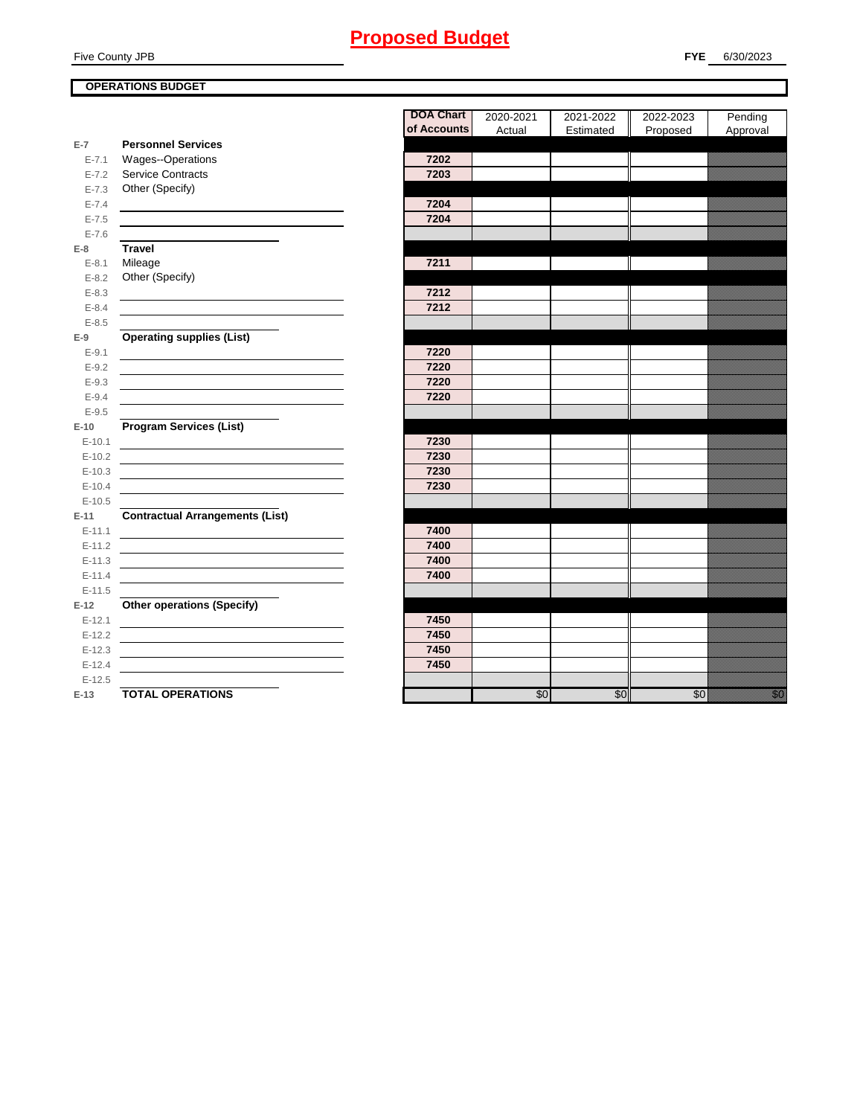Five County JPB

### **FYE** 6/30/2023

### **OPERATIONS BUDGET**

| E-7        | <b>Personnel Services</b>              |      |
|------------|----------------------------------------|------|
| $E - 7.1$  | Wages--Operations                      | 7202 |
| $E - 7.2$  | <b>Service Contracts</b>               | 7203 |
| $E - 7.3$  | Other (Specify)                        |      |
| $E - 7.4$  |                                        | 7204 |
| $E - 7.5$  |                                        | 7204 |
| $E - 7.6$  |                                        |      |
| E-8        | <b>Travel</b>                          |      |
| $E - 8.1$  | Mileage                                | 7211 |
| $E - 8.2$  | Other (Specify)                        |      |
| $E - 8.3$  |                                        | 7212 |
| $E - 8.4$  |                                        | 7212 |
| $E - 8.5$  |                                        |      |
| E-9        | <b>Operating supplies (List)</b>       |      |
| $E-9.1$    |                                        | 7220 |
| $E-9.2$    |                                        | 7220 |
| $E - 9.3$  |                                        | 7220 |
| $E-9.4$    |                                        | 7220 |
| $E-9.5$    |                                        |      |
| $E-10$     | <b>Program Services (List)</b>         |      |
| $E - 10.1$ |                                        | 7230 |
| $E-10.2$   |                                        | 7230 |
| $E-10.3$   |                                        | 7230 |
| $E - 10.4$ |                                        | 7230 |
| $E-10.5$   |                                        |      |
| E-11       | <b>Contractual Arrangements (List)</b> |      |
| $E - 11.1$ |                                        | 7400 |
| $E - 11.2$ |                                        | 7400 |
| $E - 11.3$ |                                        | 7400 |
| $E-11.4$   |                                        | 7400 |
| $E-11.5$   |                                        |      |
| $E-12$     | <b>Other operations (Specify)</b>      |      |
| $E-12.1$   |                                        | 7450 |
| $E-12.2$   |                                        | 7450 |
| $E-12.3$   |                                        | 7450 |
| $E-12.4$   |                                        | 7450 |
| $E-12.5$   |                                        |      |
| E-13       | <b>TOTAL OPERATIONS</b>                |      |
|            |                                        |      |

|            |                                                                            | <b>DOA Chart</b> | 2020-2021 | 2021-2022 | 2022-2023 | Pending                                                                                         |
|------------|----------------------------------------------------------------------------|------------------|-----------|-----------|-----------|-------------------------------------------------------------------------------------------------|
|            |                                                                            | of Accounts      | Actual    | Estimated | Proposed  | Approval                                                                                        |
| E-7        | <b>Personnel Services</b>                                                  |                  |           |           |           |                                                                                                 |
| $E - 7.1$  | Wages--Operations                                                          | 7202             |           |           |           |                                                                                                 |
| $E - 7.2$  | <b>Service Contracts</b>                                                   | 7203             |           |           |           |                                                                                                 |
| $E - 7.3$  | Other (Specify)                                                            |                  |           |           |           |                                                                                                 |
| $E - 7.4$  |                                                                            | 7204             |           |           |           |                                                                                                 |
| $E - 7.5$  |                                                                            | 7204             |           |           |           |                                                                                                 |
| $E - 7.6$  |                                                                            |                  |           |           |           |                                                                                                 |
| $E-8$      | <b>Travel</b>                                                              |                  |           |           |           |                                                                                                 |
| $E-8.1$    | Mileage                                                                    | 7211             |           |           |           |                                                                                                 |
| $E-8.2$    | Other (Specify)                                                            |                  |           |           |           |                                                                                                 |
| $E - 8.3$  |                                                                            | 7212             |           |           |           |                                                                                                 |
| $E - 8.4$  |                                                                            | 7212             |           |           |           |                                                                                                 |
| $E - 8.5$  |                                                                            |                  |           |           |           |                                                                                                 |
| $E-9$      | <b>Operating supplies (List)</b>                                           |                  |           |           |           |                                                                                                 |
| $E-9.1$    |                                                                            | 7220             |           |           |           |                                                                                                 |
| $E-9.2$    |                                                                            | 7220             |           |           |           |                                                                                                 |
| $E-9.3$    |                                                                            | 7220             |           |           |           |                                                                                                 |
| $E-9.4$    |                                                                            | 7220             |           |           |           |                                                                                                 |
| $E - 9.5$  |                                                                            |                  |           |           |           |                                                                                                 |
| $E-10$     | <b>Program Services (List)</b>                                             |                  |           |           |           |                                                                                                 |
| $E - 10.1$ |                                                                            | 7230             |           |           |           |                                                                                                 |
| $E-10.2$   |                                                                            | 7230             |           |           |           |                                                                                                 |
| $E-10.3$   |                                                                            | 7230             |           |           |           |                                                                                                 |
| $E-10.4$   |                                                                            | 7230             |           |           |           |                                                                                                 |
| $E-10.5$   |                                                                            |                  |           |           |           |                                                                                                 |
| $E-11$     | <b>Contractual Arrangements (List)</b>                                     |                  |           |           |           |                                                                                                 |
| $E-11.1$   | the control of the control of the control of the control of the control of | 7400             |           |           |           |                                                                                                 |
| $E - 11.2$ |                                                                            | 7400             |           |           |           |                                                                                                 |
| $E-11.3$   |                                                                            | 7400             |           |           |           |                                                                                                 |
| $E-11.4$   |                                                                            | 7400             |           |           |           |                                                                                                 |
| $E-11.5$   |                                                                            |                  |           |           |           |                                                                                                 |
| E-12       | <b>Other operations (Specify)</b>                                          |                  |           |           |           |                                                                                                 |
| $E-12.1$   | the control of the control of the control of the control of                | 7450             |           |           |           |                                                                                                 |
| $E-12.2$   |                                                                            | 7450             |           |           |           |                                                                                                 |
| $E-12.3$   |                                                                            | 7450             |           |           |           |                                                                                                 |
| $E-12.4$   |                                                                            | 7450             |           |           |           |                                                                                                 |
| $E-12.5$   |                                                                            |                  |           |           |           |                                                                                                 |
| $E-13$     | <b>TOTAL OPERATIONS</b>                                                    |                  | \$0       | \$0       | \$0       | en en de familien (d. 1979)<br>Marcola Santo Carlos (d. 1979)<br>Marcola Santo Carlos (d. 1979) |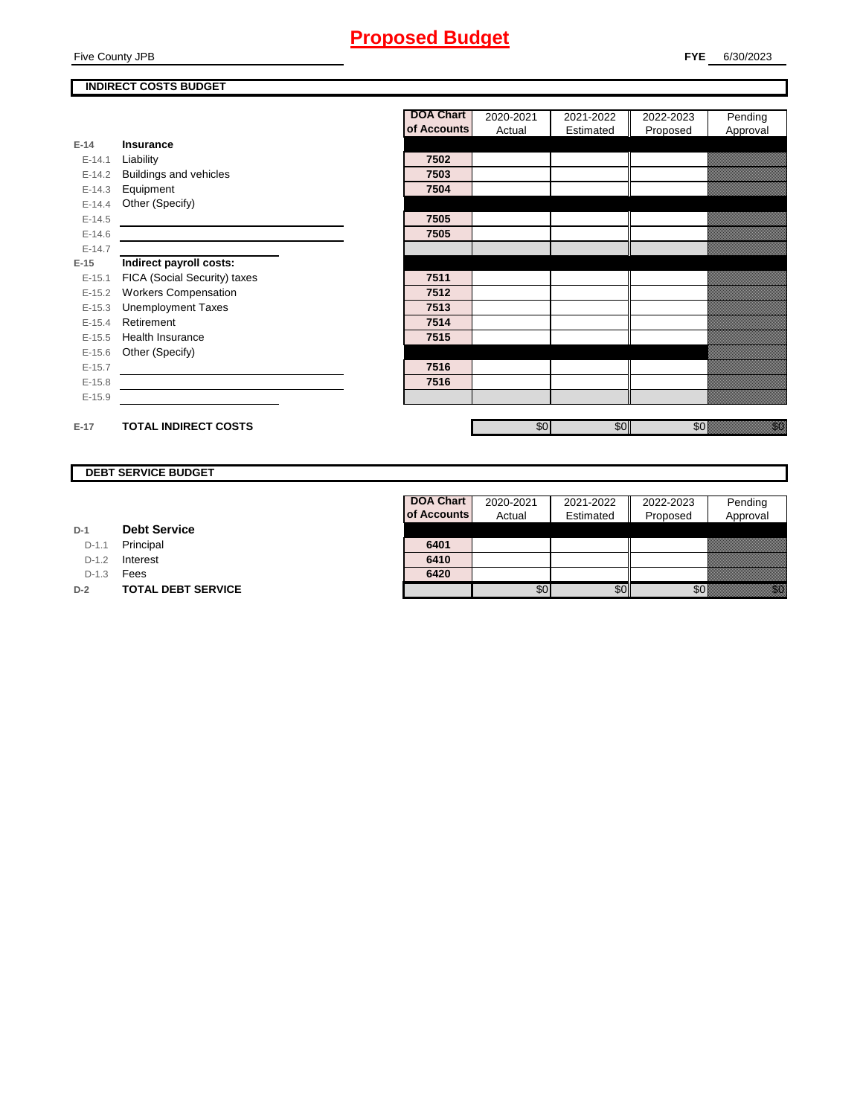Five County JPB

### **INDIRECT COSTS BUDGET**

|          |                              | <b>DOA Chart</b> | 2020-2021 | 2021-2022 | 2022-2023 | Pending                      |
|----------|------------------------------|------------------|-----------|-----------|-----------|------------------------------|
|          |                              | of Accounts      | Actual    | Estimated | Proposed  | Approval                     |
| $E-14$   | Insurance                    |                  |           |           |           |                              |
| $E-14.1$ | Liability                    | 7502             |           |           |           |                              |
| $E-14.2$ | Buildings and vehicles       | 7503             |           |           |           |                              |
| $E-14.3$ | Equipment                    | 7504             |           |           |           |                              |
| $E-14.4$ | Other (Specify)              |                  |           |           |           |                              |
| $E-14.5$ |                              | 7505             |           |           |           |                              |
| $E-14.6$ |                              | 7505             |           |           |           |                              |
| $E-14.7$ |                              |                  |           |           |           |                              |
| $E-15$   | Indirect payroll costs:      |                  |           |           |           |                              |
| $E-15.1$ | FICA (Social Security) taxes | 7511             |           |           |           |                              |
| $E-15.2$ | <b>Workers Compensation</b>  | 7512             |           |           |           |                              |
| $E-15.3$ | <b>Unemployment Taxes</b>    | 7513             |           |           |           |                              |
| $E-15.4$ | Retirement                   | 7514             |           |           |           |                              |
| $E-15.5$ | <b>Health Insurance</b>      | 7515             |           |           |           |                              |
| $E-15.6$ | Other (Specify)              |                  |           |           |           |                              |
| $E-15.7$ |                              | 7516             |           |           |           |                              |
| $E-15.8$ |                              | 7516             |           |           |           |                              |
| $E-15.9$ |                              |                  |           |           |           |                              |
|          |                              |                  |           |           |           |                              |
| $E-17$   | <b>TOTAL INDIRECT COSTS</b>  |                  | \$0       | \$0       | \$0       | en de la filosofia<br>Martin |

### **DEBT SERVICE BUDGET**

| D-1 |  | <b>Debt Service</b> |
|-----|--|---------------------|
|-----|--|---------------------|

D-1.1 **Principal** 

D-1.2 **Interest** 

D-1.3 **Fees** 

**D-2 TOTAL DEBT SERVICE** 

| DOA Chart   | 2020-2021 | 2021-2022 | 2022-2023 | Pending  |
|-------------|-----------|-----------|-----------|----------|
| of Accounts | Actual    | Estimated | Proposed  | Approval |
|             |           |           |           |          |
|             |           |           |           |          |
| 6401        |           |           |           |          |
| 6410        |           |           |           |          |
| 6420        |           |           |           |          |
|             |           |           |           |          |